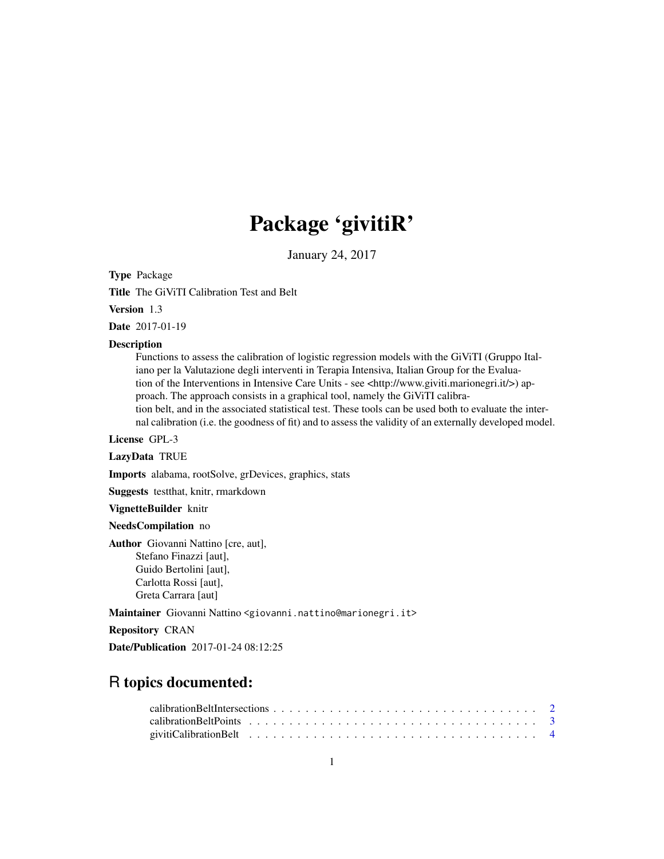# Package 'givitiR'

January 24, 2017

Type Package

Title The GiViTI Calibration Test and Belt

Version 1.3

Date 2017-01-19

#### Description

Functions to assess the calibration of logistic regression models with the GiViTI (Gruppo Italiano per la Valutazione degli interventi in Terapia Intensiva, Italian Group for the Evaluation of the Interventions in Intensive Care Units - see <http://www.giviti.marionegri.it/>) approach. The approach consists in a graphical tool, namely the GiViTI calibration belt, and in the associated statistical test. These tools can be used both to evaluate the internal calibration (i.e. the goodness of fit) and to assess the validity of an externally developed model.

License GPL-3

#### LazyData TRUE

Imports alabama, rootSolve, grDevices, graphics, stats

Suggests testthat, knitr, rmarkdown

VignetteBuilder knitr

NeedsCompilation no

Author Giovanni Nattino [cre, aut], Stefano Finazzi [aut], Guido Bertolini [aut], Carlotta Rossi [aut], Greta Carrara [aut]

Maintainer Giovanni Nattino <giovanni.nattino@marionegri.it>

Repository CRAN

Date/Publication 2017-01-24 08:12:25

# R topics documented: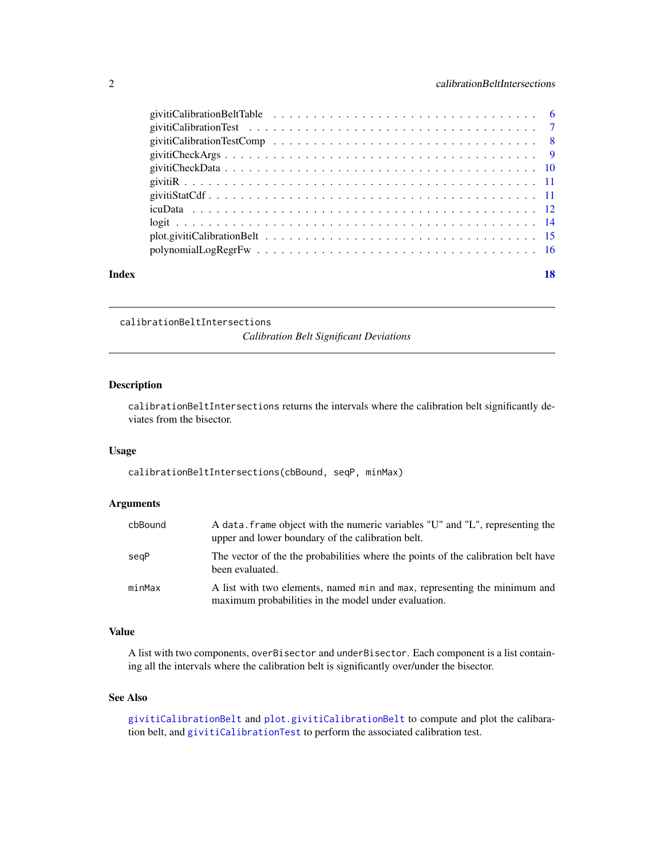<span id="page-1-0"></span>

| Index | 18 |  |
|-------|----|--|

calibrationBeltIntersections

*Calibration Belt Significant Deviations*

# Description

calibrationBeltIntersections returns the intervals where the calibration belt significantly deviates from the bisector.

#### Usage

calibrationBeltIntersections(cbBound, seqP, minMax)

# Arguments

| cbBound | A data. frame object with the numeric variables "U" and "L", representing the<br>upper and lower boundary of the calibration belt. |
|---------|------------------------------------------------------------------------------------------------------------------------------------|
| segP    | The vector of the the probabilities where the points of the calibration belt have<br>been evaluated.                               |
| minMax  | A list with two elements, named min and max, representing the minimum and<br>maximum probabilities in the model under evaluation.  |

# Value

A list with two components, overBisector and underBisector. Each component is a list containing all the intervals where the calibration belt is significantly over/under the bisector.

# See Also

[givitiCalibrationBelt](#page-3-1) and [plot.givitiCalibrationBelt](#page-14-1) to compute and plot the calibaration belt, and [givitiCalibrationTest](#page-6-1) to perform the associated calibration test.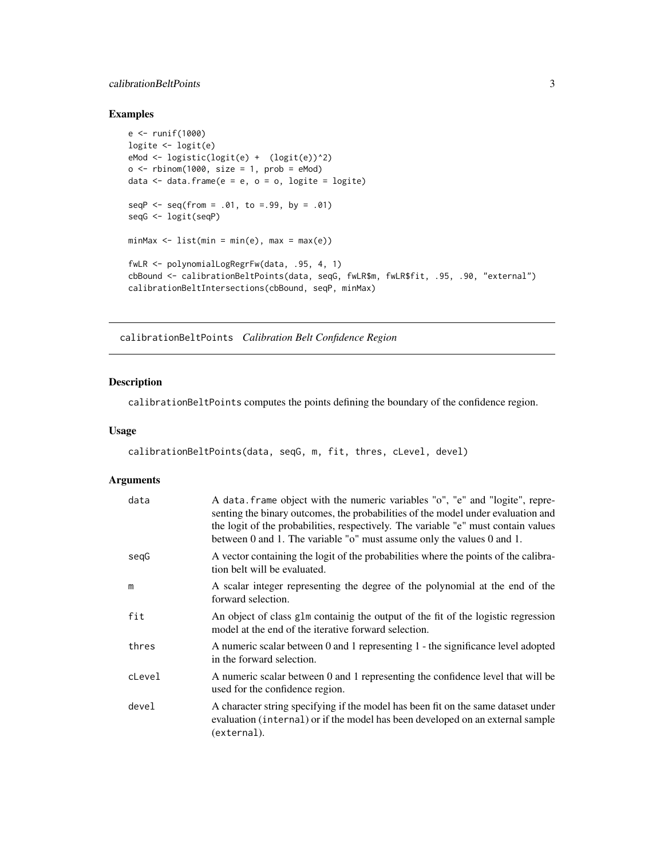# <span id="page-2-0"></span>calibrationBeltPoints 3

# Examples

```
e <- runif(1000)
logite <- logit(e)
eMod <- logistic(logit(e) + (logit(e))^2)
o \le rbinom(1000, size = 1, prob = eMod)
data \leq data.frame(e = e, o = o, logite = logite)
seqP \leq -seq(from = .01, to = .99, by = .01)seqG <- logit(seqP)
minMax \leq list(min = min(e), max = max(e))fwLR <- polynomialLogRegrFw(data, .95, 4, 1)
cbBound <- calibrationBeltPoints(data, seqG, fwLR$m, fwLR$fit, .95, .90, "external")
calibrationBeltIntersections(cbBound, seqP, minMax)
```
calibrationBeltPoints *Calibration Belt Confidence Region*

# Description

calibrationBeltPoints computes the points defining the boundary of the confidence region.

#### Usage

```
calibrationBeltPoints(data, seqG, m, fit, thres, cLevel, devel)
```

| data   | A data. frame object with the numeric variables "o", "e" and "logite", repre-<br>senting the binary outcomes, the probabilities of the model under evaluation and<br>the logit of the probabilities, respectively. The variable "e" must contain values<br>between 0 and 1. The variable "o" must assume only the values 0 and 1. |
|--------|-----------------------------------------------------------------------------------------------------------------------------------------------------------------------------------------------------------------------------------------------------------------------------------------------------------------------------------|
| segG   | A vector containing the logit of the probabilities where the points of the calibra-<br>tion belt will be evaluated.                                                                                                                                                                                                               |
| m      | A scalar integer representing the degree of the polynomial at the end of the<br>forward selection.                                                                                                                                                                                                                                |
| fit    | An object of class glm containig the output of the fit of the logistic regression<br>model at the end of the iterative forward selection.                                                                                                                                                                                         |
| thres  | A numeric scalar between 0 and 1 representing 1 - the significance level adopted<br>in the forward selection.                                                                                                                                                                                                                     |
| cLevel | A numeric scalar between 0 and 1 representing the confidence level that will be<br>used for the confidence region.                                                                                                                                                                                                                |
| devel  | A character string specifying if the model has been fit on the same dataset under<br>evaluation (internal) or if the model has been developed on an external sample<br>(external).                                                                                                                                                |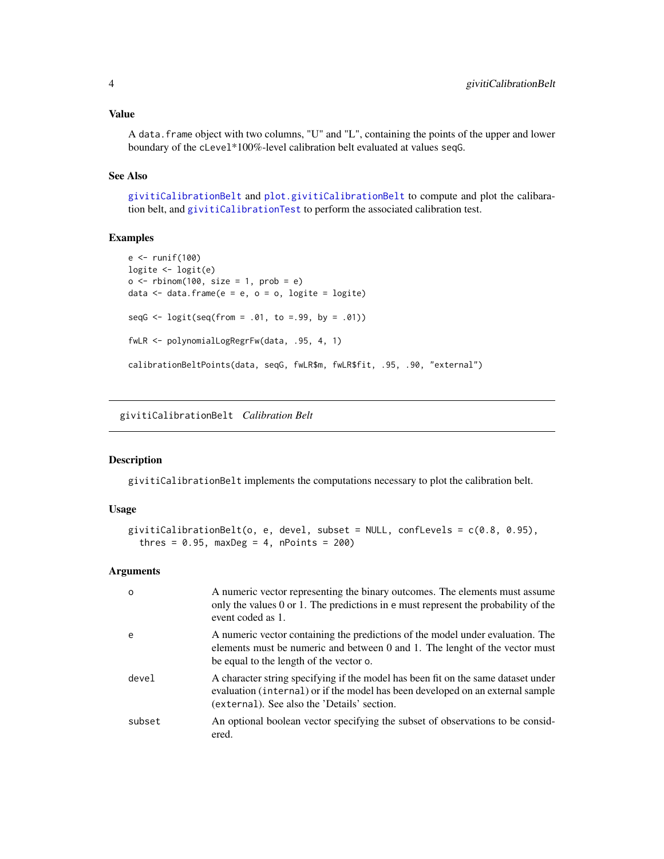#### <span id="page-3-0"></span>Value

A data.frame object with two columns, "U" and "L", containing the points of the upper and lower boundary of the cLevel\*100%-level calibration belt evaluated at values seqG.

# See Also

[givitiCalibrationBelt](#page-3-1) and [plot.givitiCalibrationBelt](#page-14-1) to compute and plot the calibaration belt, and [givitiCalibrationTest](#page-6-1) to perform the associated calibration test.

# Examples

```
e <- runif(100)
logite <- logit(e)
o \leq rbinom(100, size = 1, prob = e)
data \leq data.frame(e = e, o = o, logite = logite)
seqG \leq logit(seq(from = .01, to = .99, by = .01))fwLR <- polynomialLogRegrFw(data, .95, 4, 1)
calibrationBeltPoints(data, seqG, fwLR$m, fwLR$fit, .95, .90, "external")
```
<span id="page-3-1"></span>givitiCalibrationBelt *Calibration Belt*

#### Description

givitiCalibrationBelt implements the computations necessary to plot the calibration belt.

#### Usage

```
givitiCalibrationBelt(o, e, devel, subset = NULL, confLevels = c(0.8, 0.95),
  thres = 0.95, maxDeg = 4, nPoints = 200)
```

| $\Omega$ | A numeric vector representing the binary outcomes. The elements must assume<br>only the values 0 or 1. The predictions in e must represent the probability of the<br>event coded as 1.                             |
|----------|--------------------------------------------------------------------------------------------------------------------------------------------------------------------------------------------------------------------|
| e        | A numeric vector containing the predictions of the model under evaluation. The<br>elements must be numeric and between 0 and 1. The lenght of the vector must<br>be equal to the length of the vector o.           |
| devel    | A character string specifying if the model has been fit on the same dataset under<br>evaluation (internal) or if the model has been developed on an external sample<br>(external). See also the 'Details' section. |
| subset   | An optional boolean vector specifying the subset of observations to be consid-<br>ered.                                                                                                                            |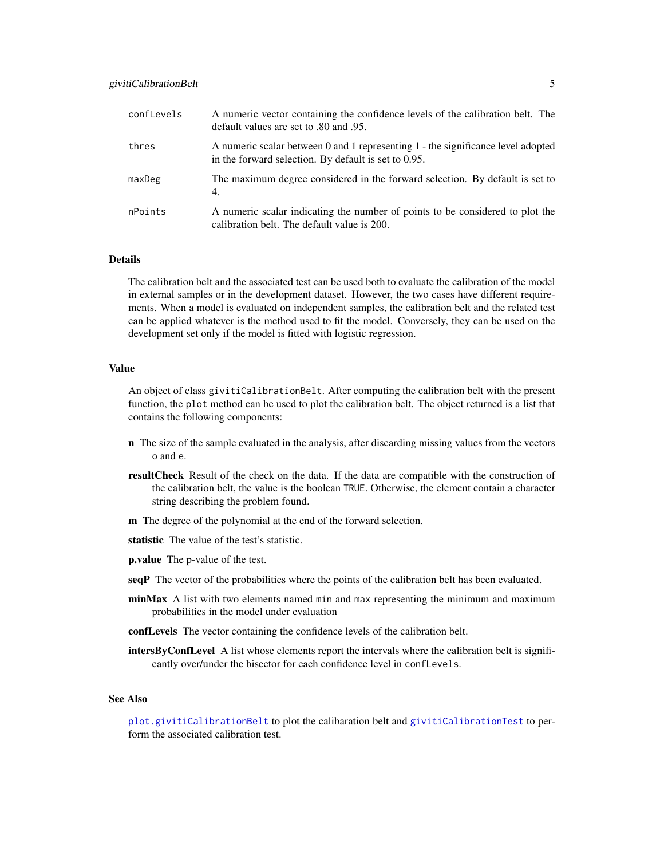<span id="page-4-0"></span>

| confLevels | A numeric vector containing the confidence levels of the calibration belt. The<br>default values are set to .80 and .95.                 |
|------------|------------------------------------------------------------------------------------------------------------------------------------------|
| thres      | A numeric scalar between 0 and 1 representing 1 - the significance level adopted<br>in the forward selection. By default is set to 0.95. |
| maxDeg     | The maximum degree considered in the forward selection. By default is set to<br>4.                                                       |
| nPoints    | A numeric scalar indicating the number of points to be considered to plot the<br>calibration belt. The default value is 200.             |

# **Details**

The calibration belt and the associated test can be used both to evaluate the calibration of the model in external samples or in the development dataset. However, the two cases have different requirements. When a model is evaluated on independent samples, the calibration belt and the related test can be applied whatever is the method used to fit the model. Conversely, they can be used on the development set only if the model is fitted with logistic regression.

#### Value

An object of class givitiCalibrationBelt. After computing the calibration belt with the present function, the plot method can be used to plot the calibration belt. The object returned is a list that contains the following components:

- n The size of the sample evaluated in the analysis, after discarding missing values from the vectors o and e.
- resultCheck Result of the check on the data. If the data are compatible with the construction of the calibration belt, the value is the boolean TRUE. Otherwise, the element contain a character string describing the problem found.
- m The degree of the polynomial at the end of the forward selection.
- statistic The value of the test's statistic.
- p.value The p-value of the test.
- seqP The vector of the probabilities where the points of the calibration belt has been evaluated.
- minMax A list with two elements named min and max representing the minimum and maximum probabilities in the model under evaluation
- confLevels The vector containing the confidence levels of the calibration belt.
- **intersByConfLevel** A list whose elements report the intervals where the calibration belt is significantly over/under the bisector for each confidence level in confLevels.

#### See Also

[plot.givitiCalibrationBelt](#page-14-1) to plot the calibaration belt and [givitiCalibrationTest](#page-6-1) to perform the associated calibration test.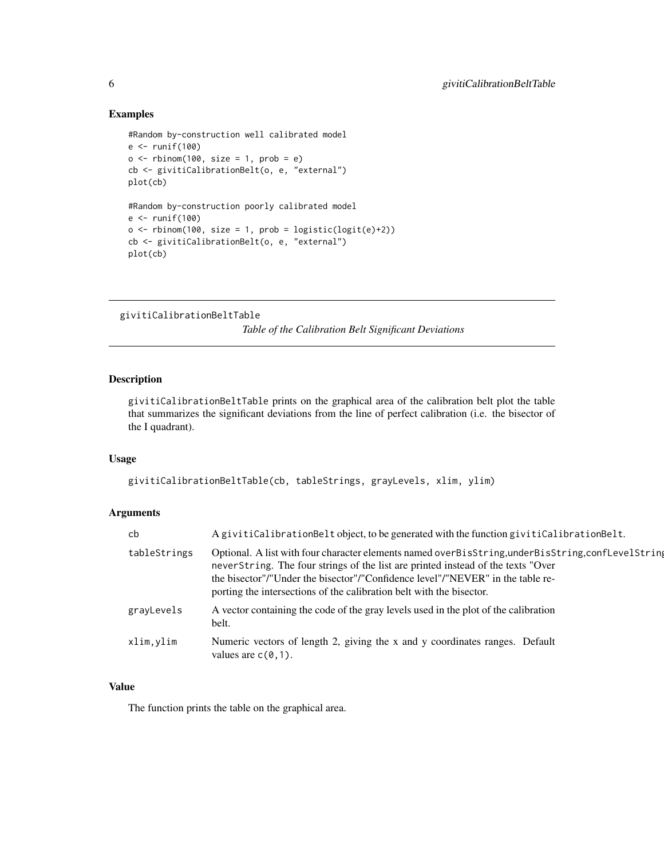# Examples

```
#Random by-construction well calibrated model
e <- runif(100)
o \le rbinom(100, size = 1, prob = e)
cb <- givitiCalibrationBelt(o, e, "external")
plot(cb)
#Random by-construction poorly calibrated model
e < - runif(100)
o \le rbinom(100, size = 1, prob = logistic(logit(e)+2))
cb <- givitiCalibrationBelt(o, e, "external")
plot(cb)
```

```
givitiCalibrationBeltTable
```
*Table of the Calibration Belt Significant Deviations*

# Description

givitiCalibrationBeltTable prints on the graphical area of the calibration belt plot the table that summarizes the significant deviations from the line of perfect calibration (i.e. the bisector of the I quadrant).

# Usage

```
givitiCalibrationBeltTable(cb, tableStrings, grayLevels, xlim, ylim)
```
# Arguments

| cb           | A givitiCalibrationBelt object, to be generated with the function givitiCalibrationBelt.                                                                                                                                                                                                                                                         |
|--------------|--------------------------------------------------------------------------------------------------------------------------------------------------------------------------------------------------------------------------------------------------------------------------------------------------------------------------------------------------|
| tableStrings | Optional. A list with four character elements named overBisString, underBisString, conflevelString<br>neverString. The four strings of the list are printed instead of the texts "Over<br>the bisector"/"Under the bisector"/"Confidence level"/"NEVER" in the table re-<br>porting the intersections of the calibration belt with the bisector. |
| grayLevels   | A vector containing the code of the gray levels used in the plot of the calibration<br>belt.                                                                                                                                                                                                                                                     |
| xlim,vlim    | Numeric vectors of length 2, giving the x and y coordinates ranges. Default<br>values are $c(0,1)$ .                                                                                                                                                                                                                                             |

# Value

The function prints the table on the graphical area.

<span id="page-5-0"></span>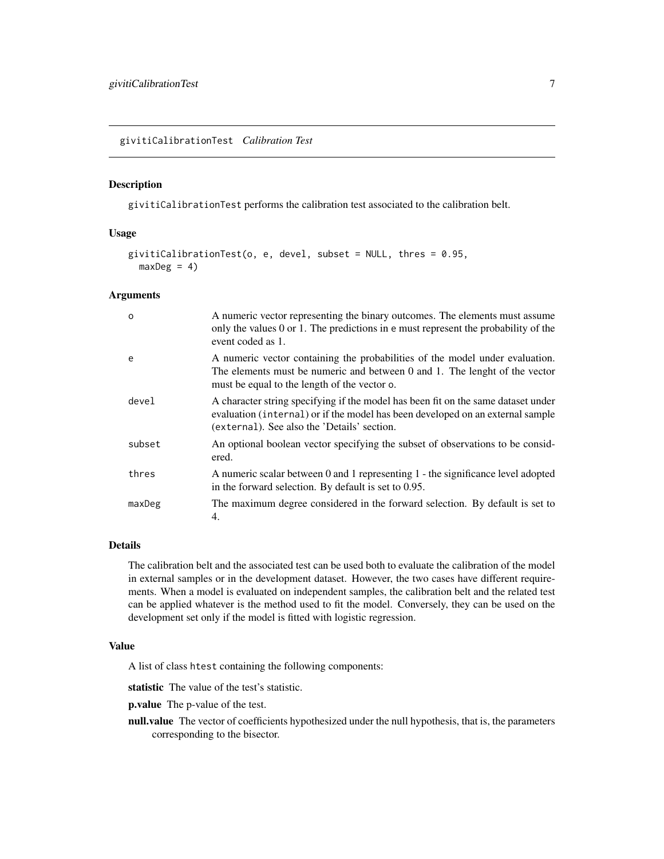<span id="page-6-1"></span><span id="page-6-0"></span>givitiCalibrationTest *Calibration Test*

# Description

givitiCalibrationTest performs the calibration test associated to the calibration belt.

# Usage

```
givitiCalibrationTest(o, e, devel, subset = NULL, thres = 0.95,
 maxDeg = 4)
```
#### Arguments

| $\Omega$ | A numeric vector representing the binary outcomes. The elements must assume<br>only the values 0 or 1. The predictions in e must represent the probability of the<br>event coded as 1.                             |
|----------|--------------------------------------------------------------------------------------------------------------------------------------------------------------------------------------------------------------------|
| e        | A numeric vector containing the probabilities of the model under evaluation.<br>The elements must be numeric and between 0 and 1. The lenght of the vector<br>must be equal to the length of the vector o.         |
| devel    | A character string specifying if the model has been fit on the same dataset under<br>evaluation (internal) or if the model has been developed on an external sample<br>(external). See also the 'Details' section. |
| subset   | An optional boolean vector specifying the subset of observations to be consid-<br>ered.                                                                                                                            |
| thres    | A numeric scalar between 0 and 1 representing 1 - the significance level adopted<br>in the forward selection. By default is set to 0.95.                                                                           |
| maxDeg   | The maximum degree considered in the forward selection. By default is set to<br>4.                                                                                                                                 |

# Details

The calibration belt and the associated test can be used both to evaluate the calibration of the model in external samples or in the development dataset. However, the two cases have different requirements. When a model is evaluated on independent samples, the calibration belt and the related test can be applied whatever is the method used to fit the model. Conversely, they can be used on the development set only if the model is fitted with logistic regression.

#### Value

A list of class htest containing the following components:

statistic The value of the test's statistic.

p.value The p-value of the test.

null.value The vector of coefficients hypothesized under the null hypothesis, that is, the parameters corresponding to the bisector.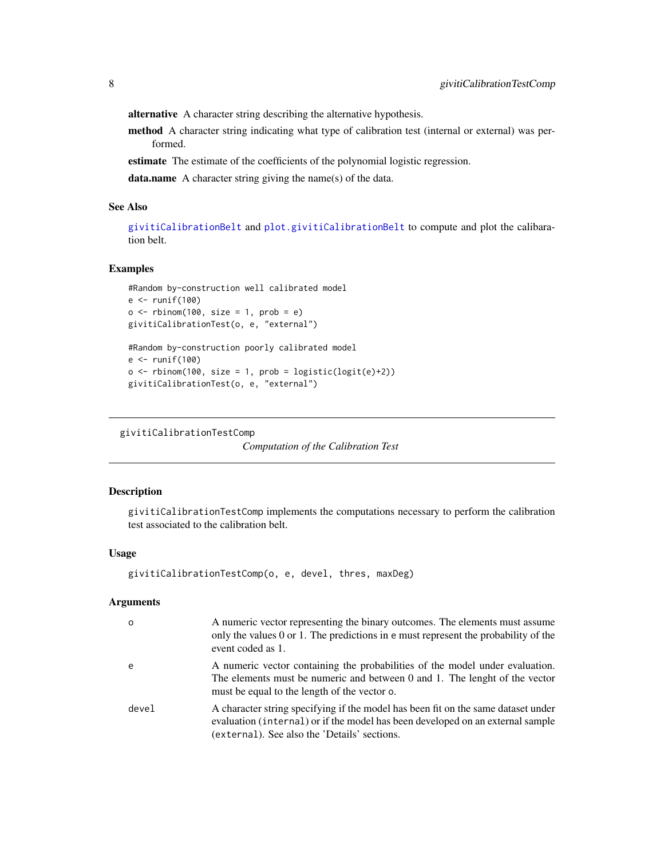<span id="page-7-0"></span>alternative A character string describing the alternative hypothesis.

method A character string indicating what type of calibration test (internal or external) was performed.

estimate The estimate of the coefficients of the polynomial logistic regression.

data.name A character string giving the name(s) of the data.

#### See Also

[givitiCalibrationBelt](#page-3-1) and [plot.givitiCalibrationBelt](#page-14-1) to compute and plot the calibaration belt.

# Examples

```
#Random by-construction well calibrated model
e <- runif(100)
o \leq rbinom(100, size = 1, prob = e)
givitiCalibrationTest(o, e, "external")
#Random by-construction poorly calibrated model
e <- runif(100)
o \leftarrow rbinom(100, size = 1, prob = logistic(logit(e)+2))
givitiCalibrationTest(o, e, "external")
```

```
givitiCalibrationTestComp
```
*Computation of the Calibration Test*

#### Description

givitiCalibrationTestComp implements the computations necessary to perform the calibration test associated to the calibration belt.

#### Usage

```
givitiCalibrationTestComp(o, e, devel, thres, maxDeg)
```

| $\Omega$ | A numeric vector representing the binary outcomes. The elements must assume<br>only the values 0 or 1. The predictions in e must represent the probability of the<br>event coded as 1.                              |
|----------|---------------------------------------------------------------------------------------------------------------------------------------------------------------------------------------------------------------------|
| e        | A numeric vector containing the probabilities of the model under evaluation.<br>The elements must be numeric and between 0 and 1. The lenght of the vector<br>must be equal to the length of the vector o.          |
| devel    | A character string specifying if the model has been fit on the same dataset under<br>evaluation (internal) or if the model has been developed on an external sample<br>(external). See also the 'Details' sections. |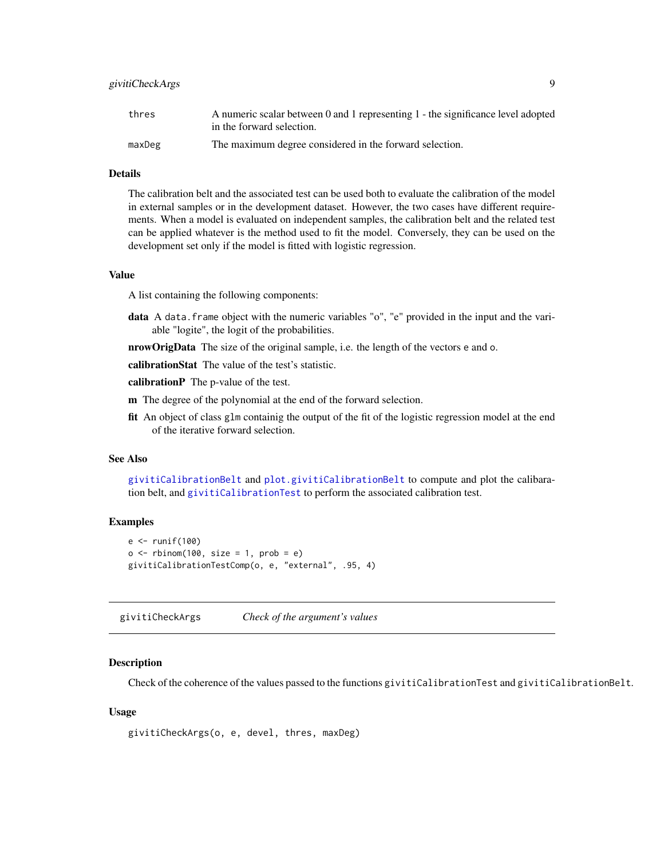# <span id="page-8-0"></span>givitiCheckArgs 9

| thres  | A numeric scalar between 0 and 1 representing 1 - the significance level adopted |
|--------|----------------------------------------------------------------------------------|
|        | in the forward selection.                                                        |
| maxDeg | The maximum degree considered in the forward selection.                          |

# Details

The calibration belt and the associated test can be used both to evaluate the calibration of the model in external samples or in the development dataset. However, the two cases have different requirements. When a model is evaluated on independent samples, the calibration belt and the related test can be applied whatever is the method used to fit the model. Conversely, they can be used on the development set only if the model is fitted with logistic regression.

#### Value

A list containing the following components:

- data A data. frame object with the numeric variables "o", "e" provided in the input and the variable "logite", the logit of the probabilities.
- nrowOrigData The size of the original sample, i.e. the length of the vectors e and o.

calibrationStat The value of the test's statistic.

calibrationP The p-value of the test.

- m The degree of the polynomial at the end of the forward selection.
- fit An object of class glm containig the output of the fit of the logistic regression model at the end of the iterative forward selection.

# See Also

[givitiCalibrationBelt](#page-3-1) and [plot.givitiCalibrationBelt](#page-14-1) to compute and plot the calibaration belt, and [givitiCalibrationTest](#page-6-1) to perform the associated calibration test.

# Examples

```
e < - runif(100)
o \leq rbinom(100, size = 1, prob = e)
givitiCalibrationTestComp(o, e, "external", .95, 4)
```
givitiCheckArgs *Check of the argument's values*

#### Description

Check of the coherence of the values passed to the functions givitiCalibrationTest and givitiCalibrationBelt.

#### Usage

```
givitiCheckArgs(o, e, devel, thres, maxDeg)
```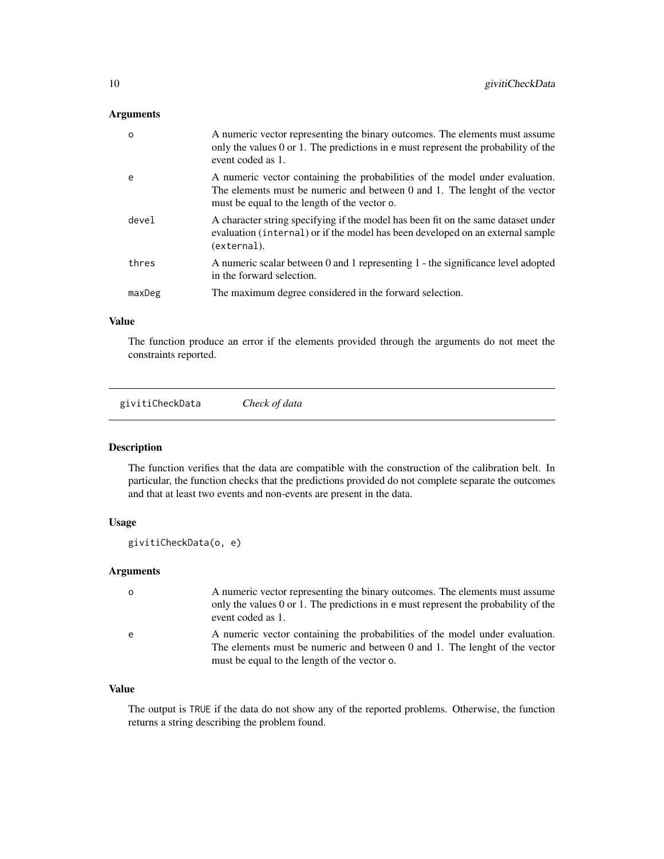# <span id="page-9-0"></span>Arguments

| $\Omega$ | A numeric vector representing the binary outcomes. The elements must assume<br>only the values $0$ or $1$ . The predictions in e- must represent the probability of the<br>event coded as 1.               |
|----------|------------------------------------------------------------------------------------------------------------------------------------------------------------------------------------------------------------|
| e        | A numeric vector containing the probabilities of the model under evaluation.<br>The elements must be numeric and between 0 and 1. The lenght of the vector<br>must be equal to the length of the vector o. |
| devel    | A character string specifying if the model has been fit on the same dataset under<br>evaluation (internal) or if the model has been developed on an external sample<br>(external).                         |
| thres    | A numeric scalar between 0 and 1 representing 1 - the significance level adopted<br>in the forward selection.                                                                                              |
| maxDeg   | The maximum degree considered in the forward selection.                                                                                                                                                    |

### Value

The function produce an error if the elements provided through the arguments do not meet the constraints reported.

givitiCheckData *Check of data*

# **Description**

The function verifies that the data are compatible with the construction of the calibration belt. In particular, the function checks that the predictions provided do not complete separate the outcomes and that at least two events and non-events are present in the data.

#### Usage

```
givitiCheckData(o, e)
```
# Arguments

| $\Omega$ | A numeric vector representing the binary outcomes. The elements must assume<br>only the values 0 or 1. The predictions in e must represent the probability of the<br>event coded as 1.                     |
|----------|------------------------------------------------------------------------------------------------------------------------------------------------------------------------------------------------------------|
| e        | A numeric vector containing the probabilities of the model under evaluation.<br>The elements must be numeric and between 0 and 1. The lenght of the vector<br>must be equal to the length of the vector o. |

# Value

The output is TRUE if the data do not show any of the reported problems. Otherwise, the function returns a string describing the problem found.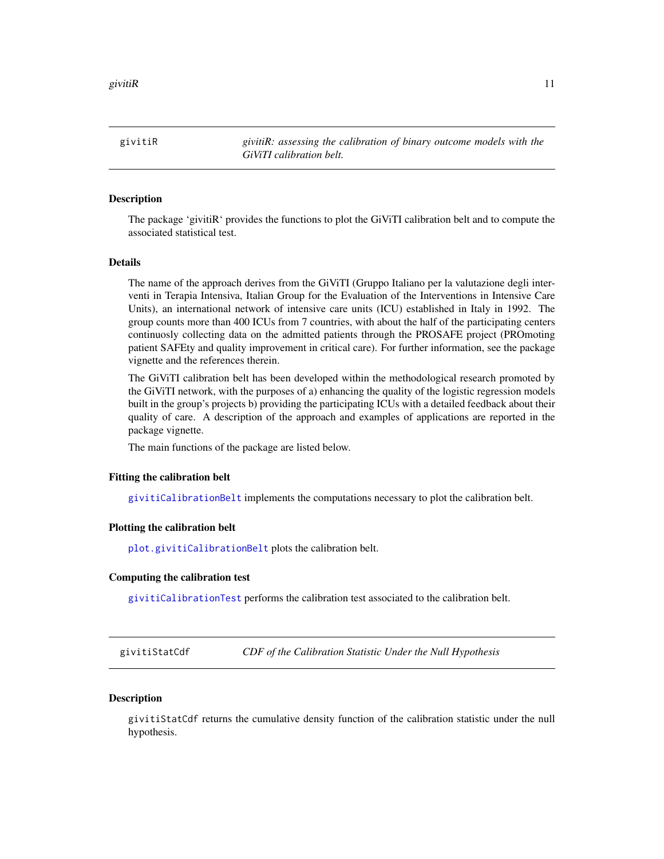<span id="page-10-0"></span>givitiR *givitiR: assessing the calibration of binary outcome models with the GiViTI calibration belt.*

#### Description

The package 'givitiR' provides the functions to plot the GiViTI calibration belt and to compute the associated statistical test.

#### Details

The name of the approach derives from the GiViTI (Gruppo Italiano per la valutazione degli interventi in Terapia Intensiva, Italian Group for the Evaluation of the Interventions in Intensive Care Units), an international network of intensive care units (ICU) established in Italy in 1992. The group counts more than 400 ICUs from 7 countries, with about the half of the participating centers continuosly collecting data on the admitted patients through the PROSAFE project (PROmoting patient SAFEty and quality improvement in critical care). For further information, see the package vignette and the references therein.

The GiViTI calibration belt has been developed within the methodological research promoted by the GiViTI network, with the purposes of a) enhancing the quality of the logistic regression models built in the group's projects b) providing the participating ICUs with a detailed feedback about their quality of care. A description of the approach and examples of applications are reported in the package vignette.

The main functions of the package are listed below.

#### Fitting the calibration belt

[givitiCalibrationBelt](#page-3-1) implements the computations necessary to plot the calibration belt.

#### Plotting the calibration belt

[plot.givitiCalibrationBelt](#page-14-1) plots the calibration belt.

#### Computing the calibration test

[givitiCalibrationTest](#page-6-1) performs the calibration test associated to the calibration belt.

givitiStatCdf *CDF of the Calibration Statistic Under the Null Hypothesis*

# **Description**

givitiStatCdf returns the cumulative density function of the calibration statistic under the null hypothesis.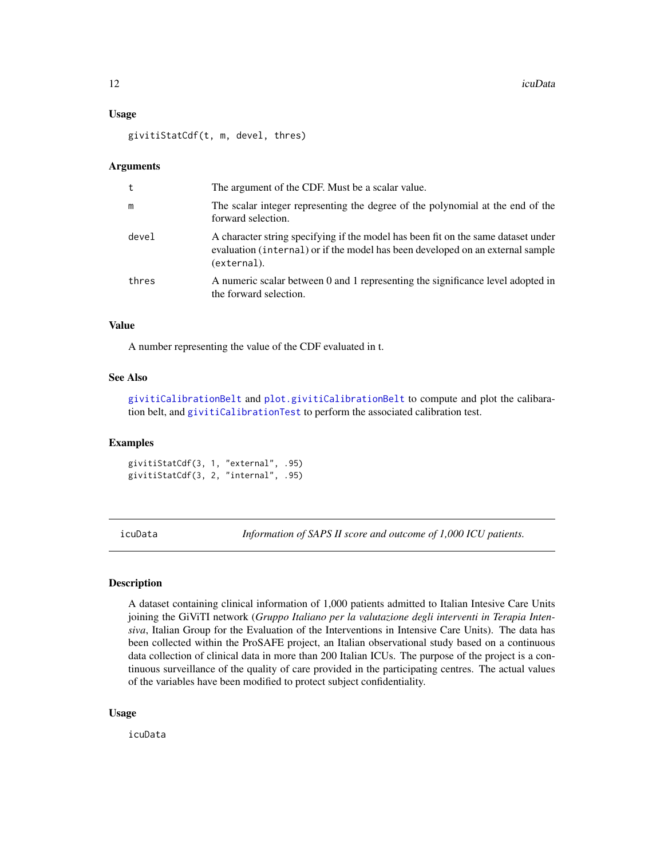#### <span id="page-11-0"></span>Usage

givitiStatCdf(t, m, devel, thres)

#### Arguments

| t     | The argument of the CDF. Must be a scalar value.                                                                                                                                   |
|-------|------------------------------------------------------------------------------------------------------------------------------------------------------------------------------------|
| m     | The scalar integer representing the degree of the polynomial at the end of the<br>forward selection.                                                                               |
| devel | A character string specifying if the model has been fit on the same dataset under<br>evaluation (internal) or if the model has been developed on an external sample<br>(external). |
| thres | A numeric scalar between 0 and 1 representing the significance level adopted in<br>the forward selection.                                                                          |

#### Value

A number representing the value of the CDF evaluated in t.

#### See Also

[givitiCalibrationBelt](#page-3-1) and [plot.givitiCalibrationBelt](#page-14-1) to compute and plot the calibaration belt, and [givitiCalibrationTest](#page-6-1) to perform the associated calibration test.

#### Examples

givitiStatCdf(3, 1, "external", .95) givitiStatCdf(3, 2, "internal", .95)

icuData *Information of SAPS II score and outcome of 1,000 ICU patients.*

#### **Description**

A dataset containing clinical information of 1,000 patients admitted to Italian Intesive Care Units joining the GiViTI network (*Gruppo Italiano per la valutazione degli interventi in Terapia Intensiva*, Italian Group for the Evaluation of the Interventions in Intensive Care Units). The data has been collected within the ProSAFE project, an Italian observational study based on a continuous data collection of clinical data in more than 200 Italian ICUs. The purpose of the project is a continuous surveillance of the quality of care provided in the participating centres. The actual values of the variables have been modified to protect subject confidentiality.

#### Usage

icuData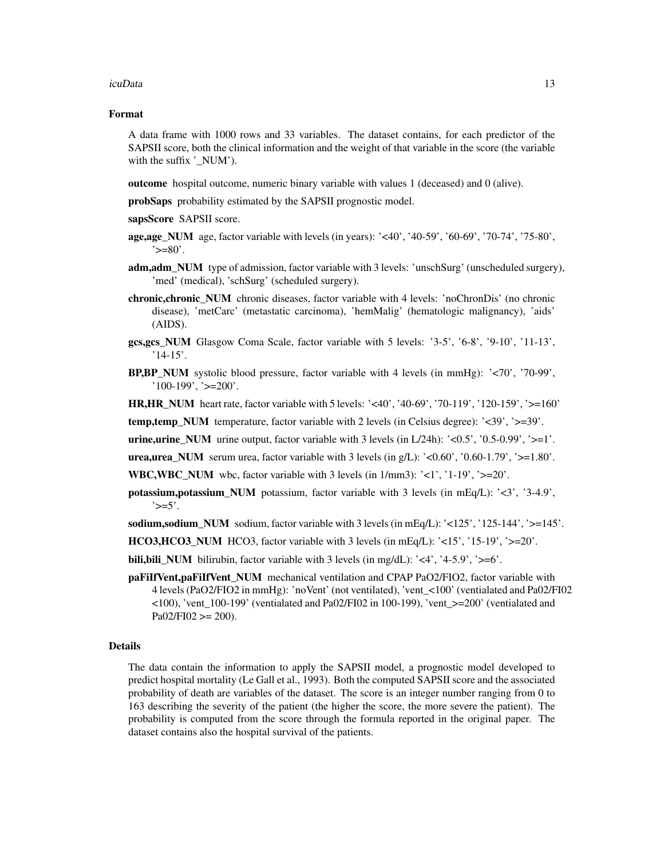#### icuData 13

#### Format

A data frame with 1000 rows and 33 variables. The dataset contains, for each predictor of the SAPSII score, both the clinical information and the weight of that variable in the score (the variable with the suffix '\_NUM').

outcome hospital outcome, numeric binary variable with values 1 (deceased) and 0 (alive).

probSaps probability estimated by the SAPSII prognostic model.

sapsScore SAPSII score.

- **age,age\_NUM** age, factor variable with levels (in years): '<40', '40-59', '60-69', '70-74', '75-80',  $\leq$  =80'.
- adm, adm\_NUM type of admission, factor variable with 3 levels: 'unschSurg' (unscheduled surgery), 'med' (medical), 'schSurg' (scheduled surgery).
- chronic,chronic\_NUM chronic diseases, factor variable with 4 levels: 'noChronDis' (no chronic disease), 'metCarc' (metastatic carcinoma), 'hemMalig' (hematologic malignancy), 'aids' (AIDS).
- gcs,gcs\_NUM Glasgow Coma Scale, factor variable with 5 levels: '3-5', '6-8', '9-10', '11-13',  $'14-15'$ .
- **BP,BP\_NUM** systolic blood pressure, factor variable with 4 levels (in mmHg):  $\langle \langle 70 \rangle$ ,  $\langle 70-99 \rangle$ ,  $'100-199', '>=200'.$

HR,HR\_NUM heart rate, factor variable with 5 levels: '<40', '40-69', '70-119', '120-159', '>=160'

temp,temp\_NUM temperature, factor variable with 2 levels (in Celsius degree): '<39', '>=39'.

**urine,urine\_NUM** urine output, factor variable with 3 levels (in  $L/24h$ ):  $\leq 0.5$ ', '0.5-0.99', ' $>=1$ '.

**urea,urea\_NUM** serum urea, factor variable with 3 levels (in  $g/L$ ): '<0.60', '0.60-1.79', '>=1.80'.

**WBC,WBC** NUM wbc, factor variable with 3 levels (in  $1/\text{mm}3$ ): ' $\lt 1$ ', ' $1-19$ ', ' $\gt 20$ '.

**potassium,potassium NUM** potassium, factor variable with 3 levels (in mEq/L): ' $\langle 3'$ , '3-4.9',  $\left\langle \right\rangle = 5$ .

sodium,sodium\_NUM sodium, factor variable with 3 levels (in mEq/L): '<125', '125-144', '>=145'.

HCO3, HCO3 NUM HCO3, factor variable with 3 levels (in mEq/L):  $\langle 15'$ ,  $\langle 15 \rangle$ ,  $\langle 15-19'$ ,  $\langle 20' \rangle$ .

- **bili, bili\_NUM** bilirubin, factor variable with 3 levels (in mg/dL): '<4', '4-5.9', '>=6'.
- paFiIfVent,paFiIfVent\_NUM mechanical ventilation and CPAP PaO2/FIO2, factor variable with 4 levels (PaO2/FIO2 in mmHg): 'noVent' (not ventilated), 'vent\_<100' (ventialated and Pa02/FI02 <100), 'vent\_100-199' (ventialated and Pa02/FI02 in 100-199), 'vent\_>=200' (ventialated and  $Pa02/FI02 \geq 200$ .

#### Details

The data contain the information to apply the SAPSII model, a prognostic model developed to predict hospital mortality (Le Gall et al., 1993). Both the computed SAPSII score and the associated probability of death are variables of the dataset. The score is an integer number ranging from 0 to 163 describing the severity of the patient (the higher the score, the more severe the patient). The probability is computed from the score through the formula reported in the original paper. The dataset contains also the hospital survival of the patients.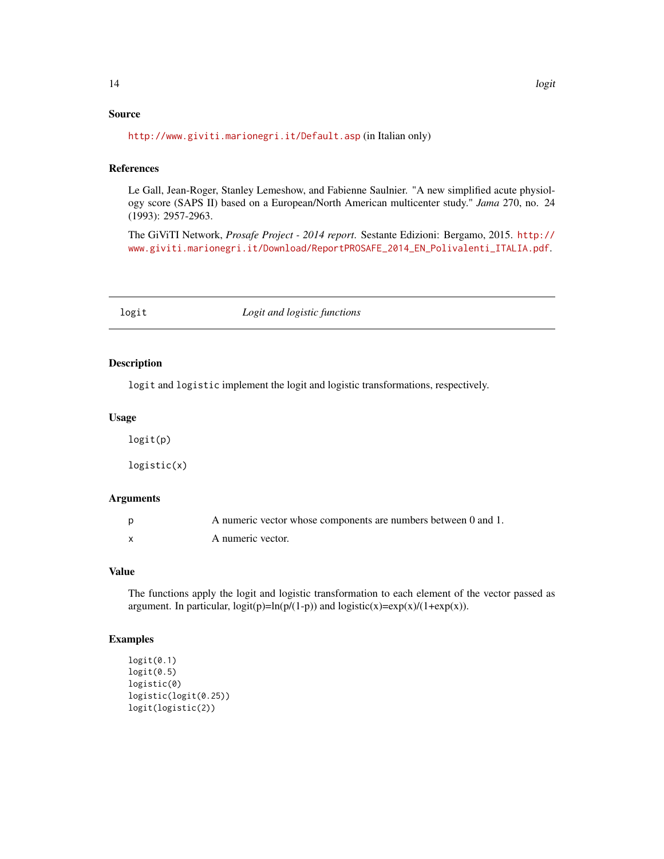# <span id="page-13-0"></span>Source

<http://www.giviti.marionegri.it/Default.asp> (in Italian only)

# References

Le Gall, Jean-Roger, Stanley Lemeshow, and Fabienne Saulnier. "A new simplified acute physiology score (SAPS II) based on a European/North American multicenter study." *Jama* 270, no. 24 (1993): 2957-2963.

The GiViTI Network, *Prosafe Project - 2014 report*. Sestante Edizioni: Bergamo, 2015. [http://](http://www.giviti.marionegri.it/Download/ReportPROSAFE_2014_EN_Polivalenti_ITALIA.pdf) [www.giviti.marionegri.it/Download/ReportPROSAFE\\_2014\\_EN\\_Polivalenti\\_ITALIA.pdf](http://www.giviti.marionegri.it/Download/ReportPROSAFE_2014_EN_Polivalenti_ITALIA.pdf).

logit *Logit and logistic functions*

# Description

logit and logistic implement the logit and logistic transformations, respectively.

#### Usage

logit(p) logistic(x)

# Arguments

| A numeric vector whose components are numbers between 0 and 1. |
|----------------------------------------------------------------|
| A numeric vector.                                              |

# Value

The functions apply the logit and logistic transformation to each element of the vector passed as argument. In particular,  $logit(p)=ln(p/(1-p))$  and  $logistic(x)=exp(x)/(1+exp(x))$ .

# Examples

```
logit(0.1)logit(0.5)
logistic(0)
logistic(logit(0.25))
logit(logistic(2))
```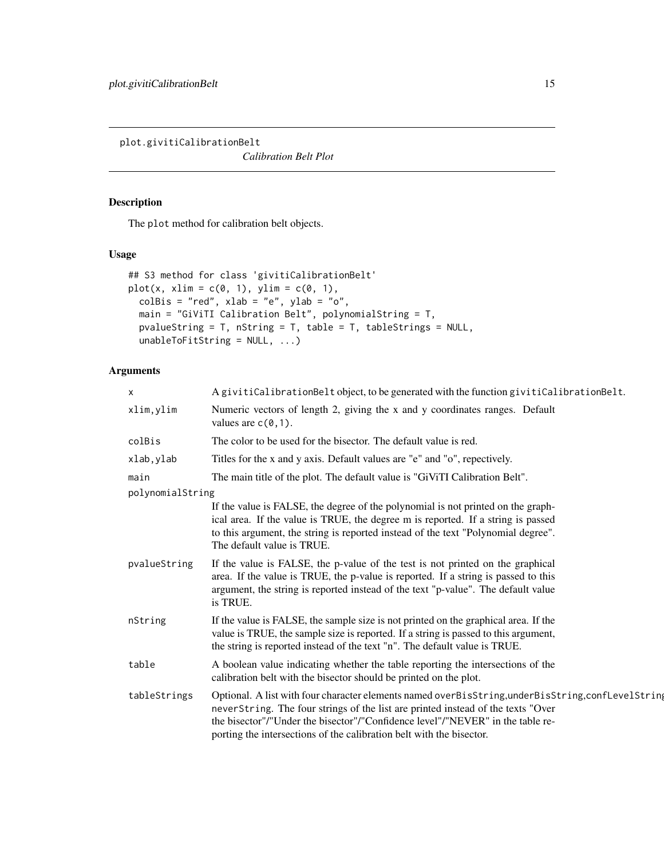<span id="page-14-1"></span><span id="page-14-0"></span>plot.givitiCalibrationBelt

*Calibration Belt Plot*

# Description

The plot method for calibration belt objects.

# Usage

```
## S3 method for class 'givitiCalibrationBelt'
plot(x, xlim = c(0, 1), ylim = c(0, 1),colBis = "red", xlab = "e", ylab = "o",main = "GiViTI Calibration Belt", polynomialString = T,
 pvalueString = T, nString = T, table = T, tableStrings = NULL,
 unableToFitString = NULL, ...)
```

| X                | A givitiCalibrationBelt object, to be generated with the function givitiCalibrationBelt.                                                                                                                                                                                                                                                         |
|------------------|--------------------------------------------------------------------------------------------------------------------------------------------------------------------------------------------------------------------------------------------------------------------------------------------------------------------------------------------------|
| xlim, ylim       | Numeric vectors of length 2, giving the x and y coordinates ranges. Default<br>values are $c(0,1)$ .                                                                                                                                                                                                                                             |
| colBis           | The color to be used for the bisector. The default value is red.                                                                                                                                                                                                                                                                                 |
| xlab, ylab       | Titles for the x and y axis. Default values are "e" and "o", repectively.                                                                                                                                                                                                                                                                        |
| main             | The main title of the plot. The default value is "GiViTI Calibration Belt".                                                                                                                                                                                                                                                                      |
| polynomialString |                                                                                                                                                                                                                                                                                                                                                  |
|                  | If the value is FALSE, the degree of the polynomial is not printed on the graph-<br>ical area. If the value is TRUE, the degree m is reported. If a string is passed<br>to this argument, the string is reported instead of the text "Polynomial degree".<br>The default value is TRUE.                                                          |
| pvalueString     | If the value is FALSE, the p-value of the test is not printed on the graphical<br>area. If the value is TRUE, the p-value is reported. If a string is passed to this<br>argument, the string is reported instead of the text "p-value". The default value<br>is TRUE.                                                                            |
| nString          | If the value is FALSE, the sample size is not printed on the graphical area. If the<br>value is TRUE, the sample size is reported. If a string is passed to this argument,<br>the string is reported instead of the text "n". The default value is TRUE.                                                                                         |
| table            | A boolean value indicating whether the table reporting the intersections of the<br>calibration belt with the bisector should be printed on the plot.                                                                                                                                                                                             |
| tableStrings     | Optional. A list with four character elements named overBisString, underBisString, conflevelString<br>neverString. The four strings of the list are printed instead of the texts "Over<br>the bisector"/"Under the bisector"/"Confidence level"/"NEVER" in the table re-<br>porting the intersections of the calibration belt with the bisector. |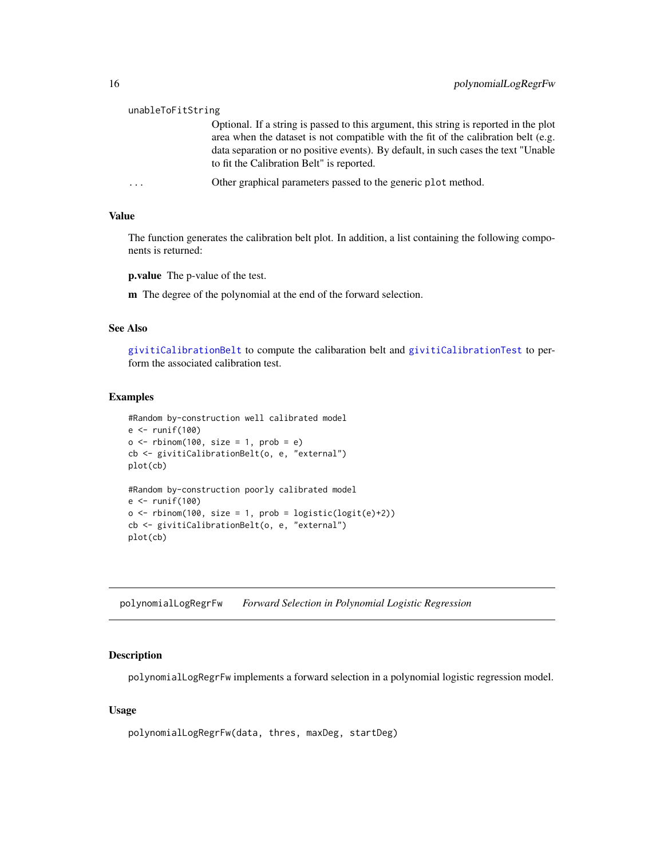#### <span id="page-15-0"></span>unableToFitString

Optional. If a string is passed to this argument, this string is reported in the plot area when the dataset is not compatible with the fit of the calibration belt (e.g. data separation or no positive events). By default, in such cases the text "Unable to fit the Calibration Belt" is reported.

... Other graphical parameters passed to the generic plot method.

# Value

The function generates the calibration belt plot. In addition, a list containing the following components is returned:

p.value The p-value of the test.

m The degree of the polynomial at the end of the forward selection.

# See Also

[givitiCalibrationBelt](#page-3-1) to compute the calibaration belt and [givitiCalibrationTest](#page-6-1) to perform the associated calibration test.

#### Examples

```
#Random by-construction well calibrated model
e <- runif(100)
o \leq rbinom(100, size = 1, prob = e)
cb <- givitiCalibrationBelt(o, e, "external")
plot(cb)
#Random by-construction poorly calibrated model
e <- runif(100)
o \leq rbinom(100, size = 1, prob = logistic(logit(e)+2))
cb <- givitiCalibrationBelt(o, e, "external")
plot(cb)
```
polynomialLogRegrFw *Forward Selection in Polynomial Logistic Regression*

#### Description

polynomialLogRegrFw implements a forward selection in a polynomial logistic regression model.

#### Usage

polynomialLogRegrFw(data, thres, maxDeg, startDeg)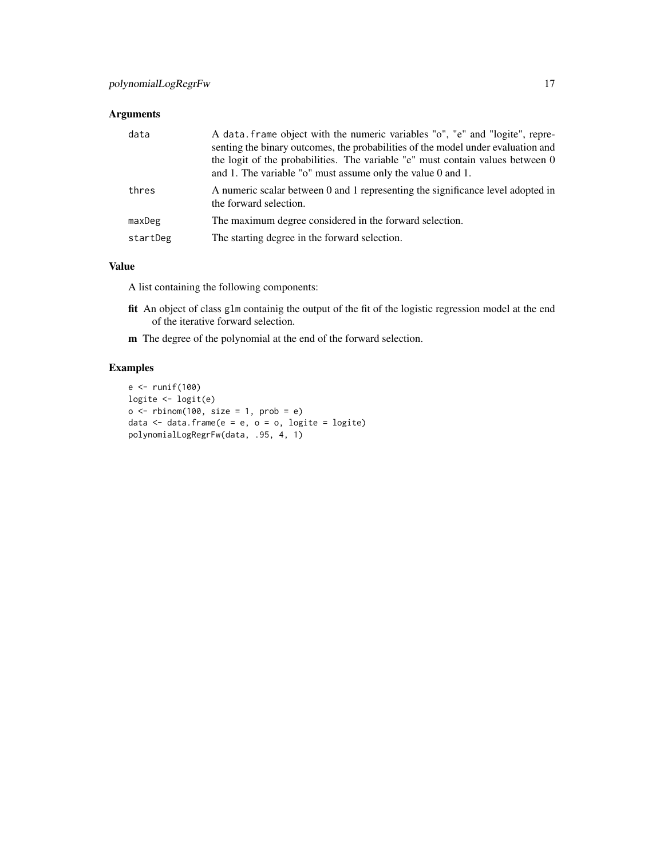# Arguments

| data     | A data frame object with the numeric variables "o", "e" and "logite", repre-<br>senting the binary outcomes, the probabilities of the model under evaluation and<br>the logit of the probabilities. The variable "e" must contain values between 0<br>and 1. The variable " $o$ " must assume only the value 0 and 1. |
|----------|-----------------------------------------------------------------------------------------------------------------------------------------------------------------------------------------------------------------------------------------------------------------------------------------------------------------------|
| thres    | A numeric scalar between 0 and 1 representing the significance level adopted in<br>the forward selection.                                                                                                                                                                                                             |
| maxDeg   | The maximum degree considered in the forward selection.                                                                                                                                                                                                                                                               |
| startDeg | The starting degree in the forward selection.                                                                                                                                                                                                                                                                         |

# Value

A list containing the following components:

- fit An object of class glm containig the output of the fit of the logistic regression model at the end of the iterative forward selection.
- m The degree of the polynomial at the end of the forward selection.

# Examples

```
e <- runif(100)
logite <- logit(e)
o \le - rbinom(100, size = 1, prob = e)
data \leq data.frame(e = e, o = o, logite = logite)
polynomialLogRegrFw(data, .95, 4, 1)
```